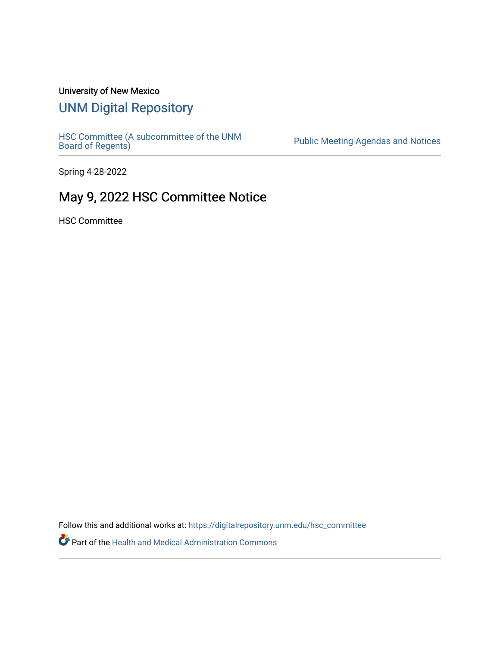## University of New Mexico

## [UNM Digital Repository](https://digitalrepository.unm.edu/)

[HSC Committee \(A subcommittee of the UNM](https://digitalrepository.unm.edu/hsc_committee) Public Meeting Agendas and Notices<br>[Board of Regents\)](https://digitalrepository.unm.edu/hsc_committee)

Spring 4-28-2022

## May 9, 2022 HSC Committee Notice

HSC Committee

Follow this and additional works at: [https://digitalrepository.unm.edu/hsc\\_committee](https://digitalrepository.unm.edu/hsc_committee?utm_source=digitalrepository.unm.edu%2Fhsc_committee%2F310&utm_medium=PDF&utm_campaign=PDFCoverPages) 

Part of the [Health and Medical Administration Commons](http://network.bepress.com/hgg/discipline/663?utm_source=digitalrepository.unm.edu%2Fhsc_committee%2F310&utm_medium=PDF&utm_campaign=PDFCoverPages)